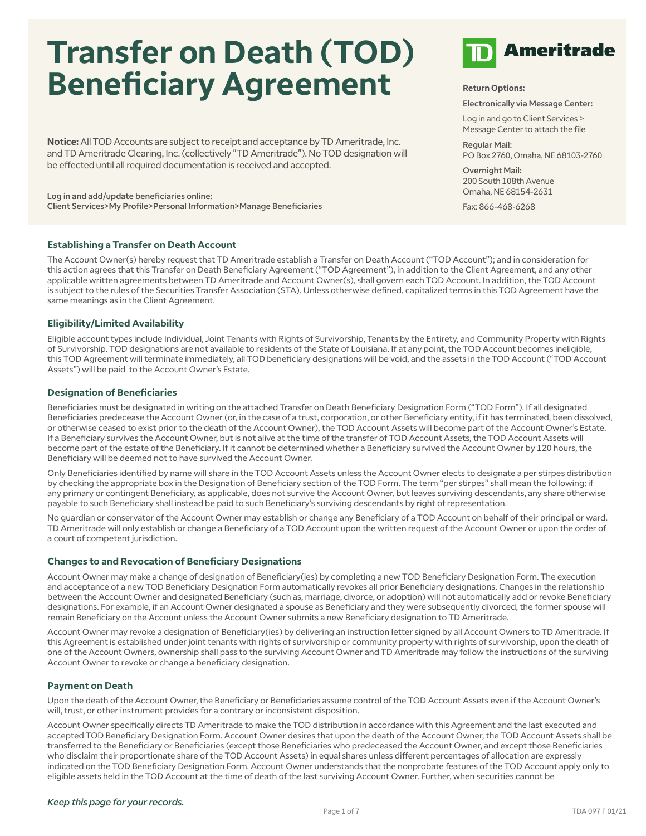# **Transfer on Death (TOD) Beneficiary Agreement**

**Notice:** All TOD Accounts are subject to receipt and acceptance by TD Ameritrade, Inc. and TD Ameritrade Clearing, Inc. (collectively "TD Ameritrade"). No TOD designation will be effected until all required documentation is received and accepted.

Log in and add/update beneficiaries online: Client Services>My Profile>Personal Information>Manage Beneficiaries

### **Establishing a Transfer on Death Account**

The Account Owner(s) hereby request that TD Ameritrade establish a Transfer on Death Account ("TOD Account"); and in consideration for this action agrees that this Transfer on Death Beneficiary Agreement ("TOD Agreement"), in addition to the Client Agreement, and any other applicable written agreements between TD Ameritrade and Account Owner(s), shall govern each TOD Account. In addition, the TOD Account is subject to the rules of the Securities Transfer Association (STA). Unless otherwise defined, capitalized terms in this TOD Agreement have the same meanings as in the Client Agreement.

### **Eligibility/Limited Availability**

Eligible account types include Individual, Joint Tenants with Rights of Survivorship, Tenants by the Entirety, and Community Property with Rights of Survivorship. TOD designations are not available to residents of the State of Louisiana. If at any point, the TOD Account becomes ineligible, this TOD Agreement will terminate immediately, all TOD beneficiary designations will be void, and the assets in the TOD Account ("TOD Account Assets") will be paid to the Account Owner's Estate.

### **Designation of Beneficiaries**

Beneficiaries must be designated in writing on the attached Transfer on Death Beneficiary Designation Form ("TOD Form"). If all designated Beneficiaries predecease the Account Owner (or, in the case of a trust, corporation, or other Beneficiary entity, if it has terminated, been dissolved, or otherwise ceased to exist prior to the death of the Account Owner), the TOD Account Assets will become part of the Account Owner's Estate. If a Beneficiary survives the Account Owner, but is not alive at the time of the transfer of TOD Account Assets, the TOD Account Assets will become part of the estate of the Beneficiary. If it cannot be determined whether a Beneficiary survived the Account Owner by 120 hours, the Beneficiary will be deemed not to have survived the Account Owner.

Only Beneficiaries identified by name will share in the TOD Account Assets unless the Account Owner elects to designate a per stirpes distribution by checking the appropriate box in the Designation of Beneficiary section of the TOD Form. The term "per stirpes" shall mean the following: if any primary or contingent Beneficiary, as applicable, does not survive the Account Owner, but leaves surviving descendants, any share otherwise payable to such Beneficiary shall instead be paid to such Beneficiary's surviving descendants by right of representation.

No guardian or conservator of the Account Owner may establish or change any Beneficiary of a TOD Account on behalf of their principal or ward. TD Ameritrade will only establish or change a Beneficiary of a TOD Account upon the written request of the Account Owner or upon the order of a court of competent jurisdiction.

#### **Changes to and Revocation of Beneficiary Designations**

Account Owner may make a change of designation of Beneficiary(ies) by completing a new TOD Beneficiary Designation Form. The execution and acceptance of a new TOD Beneficiary Designation Form automatically revokes all prior Beneficiary designations. Changes in the relationship between the Account Owner and designated Beneficiary (such as, marriage, divorce, or adoption) will not automatically add or revoke Beneficiary designations. For example, if an Account Owner designated a spouse as Beneficiary and they were subsequently divorced, the former spouse will remain Beneficiary on the Account unless the Account Owner submits a new Beneficiary designation to TD Ameritrade.

Account Owner may revoke a designation of Beneficiary(ies) by delivering an instruction letter signed by all Account Owners to TD Ameritrade. If this Agreement is established under joint tenants with rights of survivorship or community property with rights of survivorship, upon the death of one of the Account Owners, ownership shall pass to the surviving Account Owner and TD Ameritrade may follow the instructions of the surviving Account Owner to revoke or change a beneficiary designation.

### **Payment on Death**

Upon the death of the Account Owner, the Beneficiary or Beneficiaries assume control of the TOD Account Assets even if the Account Owner's will, trust, or other instrument provides for a contrary or inconsistent disposition.

Account Owner specifically directs TD Ameritrade to make the TOD distribution in accordance with this Agreement and the last executed and accepted TOD Beneficiary Designation Form. Account Owner desires that upon the death of the Account Owner, the TOD Account Assets shall be transferred to the Beneficiary or Beneficiaries (except those Beneficiaries who predeceased the Account Owner, and except those Beneficiaries who disclaim their proportionate share of the TOD Account Assets) in equal shares unless different percentages of allocation are expressly indicated on the TOD Beneficiary Designation Form. Account Owner understands that the nonprobate features of the TOD Account apply only to eligible assets held in the TOD Account at the time of death of the last surviving Account Owner. Further, when securities cannot be



### **Return Options:**

Electronically via Message Center:

Log in and go to Client Services > Message Center to attach the file

Regular Mail: PO Box 2760, Omaha, NE 68103-2760

Overnight Mail: 200 South 108th Avenue Omaha, NE 68154-2631

Fax: 866-468-6268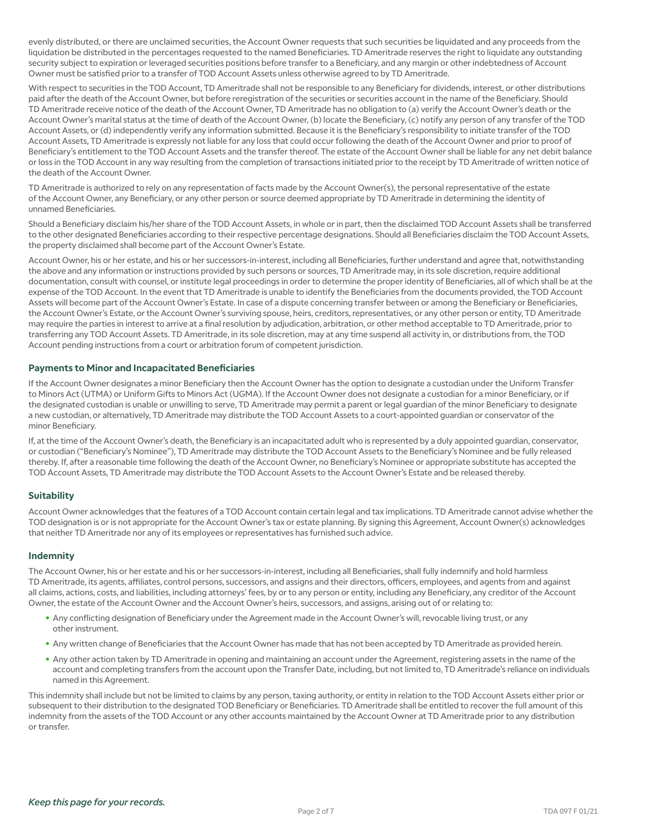evenly distributed, or there are unclaimed securities, the Account Owner requests that such securities be liquidated and any proceeds from the liquidation be distributed in the percentages requested to the named Beneficiaries. TD Ameritrade reserves the right to liquidate any outstanding security subject to expiration or leveraged securities positions before transfer to a Beneficiary, and any margin or other indebtedness of Account Owner must be satisfied prior to a transfer of TOD Account Assets unless otherwise agreed to by TD Ameritrade.

With respect to securities in the TOD Account, TD Ameritrade shall not be responsible to any Beneficiary for dividends, interest, or other distributions paid after the death of the Account Owner, but before reregistration of the securities or securities account in the name of the Beneficiary. Should TD Ameritrade receive notice of the death of the Account Owner, TD Ameritrade has no obligation to (a) verify the Account Owner's death or the Account Owner's marital status at the time of death of the Account Owner, (b) locate the Beneficiary, (c) notify any person of any transfer of the TOD Account Assets, or (d) independently verify any information submitted. Because it is the Beneficiary's responsibility to initiate transfer of the TOD Account Assets, TD Ameritrade is expressly not liable for any loss that could occur following the death of the Account Owner and prior to proof of Beneficiary's entitlement to the TOD Account Assets and the transfer thereof. The estate of the Account Owner shall be liable for any net debit balance or loss in the TOD Account in any way resulting from the completion of transactions initiated prior to the receipt by TD Ameritrade of written notice of the death of the Account Owner.

TD Ameritrade is authorized to rely on any representation of facts made by the Account Owner(s), the personal representative of the estate of the Account Owner, any Beneficiary, or any other person or source deemed appropriate by TD Ameritrade in determining the identity of unnamed Beneficiaries.

Should a Beneficiary disclaim his/her share of the TOD Account Assets, in whole or in part, then the disclaimed TOD Account Assets shall be transferred to the other designated Beneficiaries according to their respective percentage designations. Should all Beneficiaries disclaim the TOD Account Assets, the property disclaimed shall become part of the Account Owner's Estate.

Account Owner, his or her estate, and his or her successors-in-interest, including all Beneficiaries, further understand and agree that, notwithstanding the above and any information or instructions provided by such persons or sources, TD Ameritrade may, in its sole discretion, require additional documentation, consult with counsel, or institute legal proceedings in order to determine the proper identity of Beneficiaries, all of which shall be at the expense of the TOD Account. In the event that TD Ameritrade is unable to identify the Beneficiaries from the documents provided, the TOD Account Assets will become part of the Account Owner's Estate. In case of a dispute concerning transfer between or among the Beneficiary or Beneficiaries, the Account Owner's Estate, or the Account Owner's surviving spouse, heirs, creditors, representatives, or any other person or entity, TD Ameritrade may require the parties in interest to arrive at a final resolution by adjudication, arbitration, or other method acceptable to TD Ameritrade, prior to transferring any TOD Account Assets. TD Ameritrade, in its sole discretion, may at any time suspend all activity in, or distributions from, the TOD Account pending instructions from a court or arbitration forum of competent jurisdiction.

### **Payments to Minor and Incapacitated Beneficiaries**

If the Account Owner designates a minor Beneficiary then the Account Owner has the option to designate a custodian under the Uniform Transfer to Minors Act (UTMA) or Uniform Gifts to Minors Act (UGMA). If the Account Owner does not designate a custodian for a minor Beneficiary, or if the designated custodian is unable or unwilling to serve, TD Ameritrade may permit a parent or legal guardian of the minor Beneficiary to designate a new custodian, or alternatively, TD Ameritrade may distribute the TOD Account Assets to a court-appointed guardian or conservator of the minor Beneficiary.

If, at the time of the Account Owner's death, the Beneficiary is an incapacitated adult who is represented by a duly appointed guardian, conservator, or custodian ("Beneficiary's Nominee"), TD Ameritrade may distribute the TOD Account Assets to the Beneficiary's Nominee and be fully released thereby. If, after a reasonable time following the death of the Account Owner, no Beneficiary's Nominee or appropriate substitute has accepted the TOD Account Assets, TD Ameritrade may distribute the TOD Account Assets to the Account Owner's Estate and be released thereby.

### **Suitability**

Account Owner acknowledges that the features of a TOD Account contain certain legal and tax implications. TD Ameritrade cannot advise whether the TOD designation is or is not appropriate for the Account Owner's tax or estate planning. By signing this Agreement, Account Owner(s) acknowledges that neither TD Ameritrade nor any of its employees or representatives has furnished such advice.

### **Indemnity**

The Account Owner, his or her estate and his or her successors-in-interest, including all Beneficiaries, shall fully indemnify and hold harmless TD Ameritrade, its agents, affiliates, control persons, successors, and assigns and their directors, officers, employees, and agents from and against all claims, actions, costs, and liabilities, including attorneys' fees, by or to any person or entity, including any Beneficiary, any creditor of the Account Owner, the estate of the Account Owner and the Account Owner's heirs, successors, and assigns, arising out of or relating to:

- Any conflicting designation of Beneficiary under the Agreement made in the Account Owner's will, revocable living trust, or any other instrument.
- Any written change of Beneficiaries that the Account Owner has made that has not been accepted by TD Ameritrade as provided herein.
- Any other action taken by TD Ameritrade in opening and maintaining an account under the Agreement, registering assets in the name of the account and completing transfers from the account upon the Transfer Date, including, but not limited to, TD Ameritrade's reliance on individuals named in this Agreement.

This indemnity shall include but not be limited to claims by any person, taxing authority, or entity in relation to the TOD Account Assets either prior or subsequent to their distribution to the designated TOD Beneficiary or Beneficiaries. TD Ameritrade shall be entitled to recover the full amount of this indemnity from the assets of the TOD Account or any other accounts maintained by the Account Owner at TD Ameritrade prior to any distribution or transfer.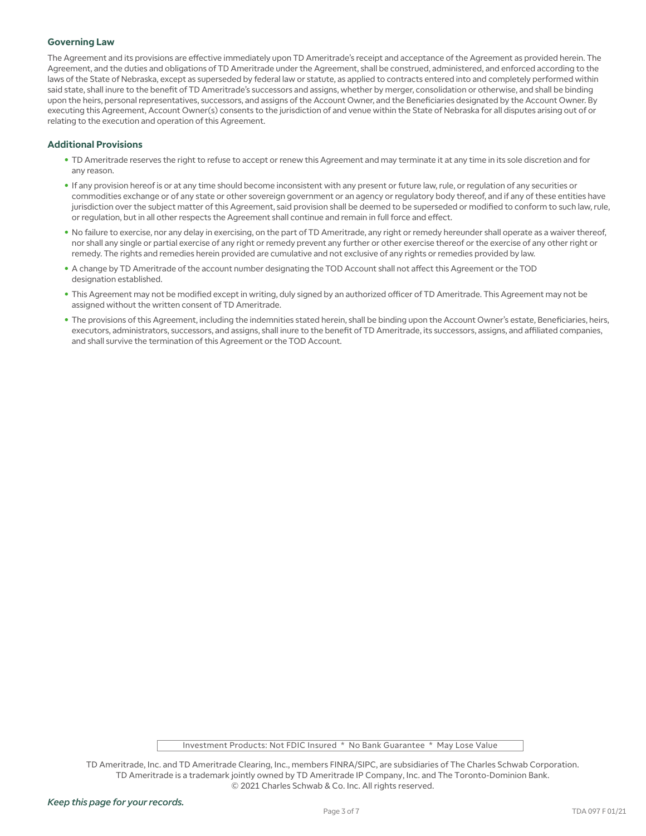### **Governing Law**

The Agreement and its provisions are effective immediately upon TD Ameritrade's receipt and acceptance of the Agreement as provided herein. The Agreement, and the duties and obligations of TD Ameritrade under the Agreement, shall be construed, administered, and enforced according to the laws of the State of Nebraska, except as superseded by federal law or statute, as applied to contracts entered into and completely performed within said state, shall inure to the benefit of TD Ameritrade's successors and assigns, whether by merger, consolidation or otherwise, and shall be binding upon the heirs, personal representatives, successors, and assigns of the Account Owner, and the Beneficiaries designated by the Account Owner. By executing this Agreement, Account Owner(s) consents to the jurisdiction of and venue within the State of Nebraska for all disputes arising out of or relating to the execution and operation of this Agreement.

### **Additional Provisions**

- TD Ameritrade reserves the right to refuse to accept or renew this Agreement and may terminate it at any time in its sole discretion and for any reason.
- If any provision hereof is or at any time should become inconsistent with any present or future law, rule, or regulation of any securities or commodities exchange or of any state or other sovereign government or an agency or regulatory body thereof, and if any of these entities have jurisdiction over the subject matter of this Agreement, said provision shall be deemed to be superseded or modified to conform to such law, rule, or regulation, but in all other respects the Agreement shall continue and remain in full force and effect.
- No failure to exercise, nor any delay in exercising, on the part of TD Ameritrade, any right or remedy hereunder shall operate as a waiver thereof, nor shall any single or partial exercise of any right or remedy prevent any further or other exercise thereof or the exercise of any other right or remedy. The rights and remedies herein provided are cumulative and not exclusive of any rights or remedies provided by law.
- A change by TD Ameritrade of the account number designating the TOD Account shall not affect this Agreement or the TOD designation established.
- This Agreement may not be modified except in writing, duly signed by an authorized officer of TD Ameritrade. This Agreement may not be assigned without the written consent of TD Ameritrade.
- The provisions of this Agreement, including the indemnities stated herein, shall be binding upon the Account Owner's estate, Beneficiaries, heirs, executors, administrators, successors, and assigns, shall inure to the benefit of TD Ameritrade, its successors, assigns, and affiliated companies, and shall survive the termination of this Agreement or the TOD Account.

Investment Products: Not FDIC Insured \* No Bank Guarantee \* May Lose Value

TD Ameritrade, Inc. and TD Ameritrade Clearing, Inc., members FINRA/SIPC, are subsidiaries of The Charles Schwab Corporation. TD Ameritrade is a trademark jointly owned by TD Ameritrade IP Company, Inc. and The Toronto-Dominion Bank. © 2021 Charles Schwab & Co. Inc. All rights reserved.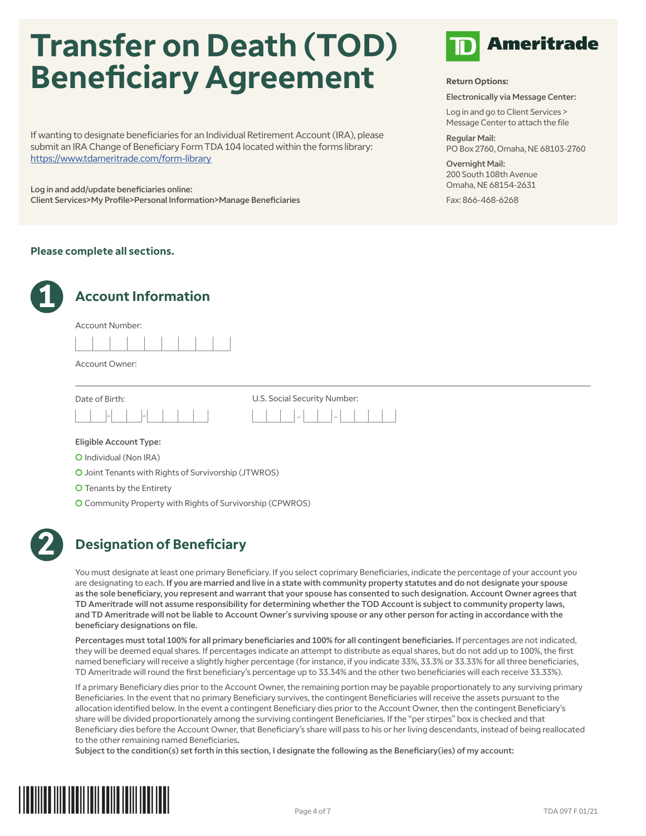# **Transfer on Death (TOD) Beneficiary Agreement**

If wanting to designate beneficiaries for an Individual Retirement Account (IRA), please submit an IRA Change of Beneficiary Form TDA 104 located within the forms library: https://www.tdameritrade.com/form-library

Log in and add/update beneficiaries online: Client Services>My Profile>Personal Information>Manage Beneficiaries

### **Please complete all sections.**



### **Account Information**





Account Owner:





Eligible Account Type:

- C Individual (Non IRA)
- C Joint Tenants with Rights of Survivorship (JTWROS)
- C Tenants by the Entirety
- C Community Property with Rights of Survivorship (CPWROS)



# **2 Designation of Beneficiary**

You must designate at least one primary Beneficiary. If you select coprimary Beneficiaries, indicate the percentage of your account you are designating to each. If you are married and live in a state with community property statutes and do not designate your spouse as the sole beneficiary, you represent and warrant that your spouse has consented to such designation. Account Owner agrees that TD Ameritrade will not assume responsibility for determining whether the TOD Account is subject to community property laws, and TD Ameritrade will not be liable to Account Owner's surviving spouse or any other person for acting in accordance with the beneficiary designations on file.

Percentages must total 100% for all primary beneficiaries and 100% for all contingent beneficiaries. If percentages are not indicated, they will be deemed equal shares. If percentages indicate an attempt to distribute as equal shares, but do not add up to 100%, the first named beneficiary will receive a slightly higher percentage (for instance, if you indicate 33%, 33.3% or 33.33% for all three beneficiaries, TD Ameritrade will round the first beneficiary's percentage up to 33.34% and the other two beneficiaries will each receive 33.33%).

If a primary Beneficiary dies prior to the Account Owner, the remaining portion may be payable proportionately to any surviving primary Beneficiaries. In the event that no primary Beneficiary survives, the contingent Beneficiaries will receive the assets pursuant to the allocation identified below. In the event a contingent Beneficiary dies prior to the Account Owner, then the contingent Beneficiary's share will be divided proportionately among the surviving contingent Beneficiaries. If the "per stirpes" box is checked and that Beneficiary dies before the Account Owner, that Beneficiary's share will pass to his or her living descendants, instead of being reallocated to the other remaining named Beneficiaries.

Subject to the condition(s) set forth in this section, I designate the following as the Beneficiary(ies) of my account:





### **Return Options:**

Electronically via Message Center:

Log in and go to Client Services > Message Center to attach the file

Regular Mail: PO Box 2760, Omaha, NE 68103-2760

Overnight Mail: 200 South 108th Avenue Omaha, NE 68154-2631

Fax: 866-468-6268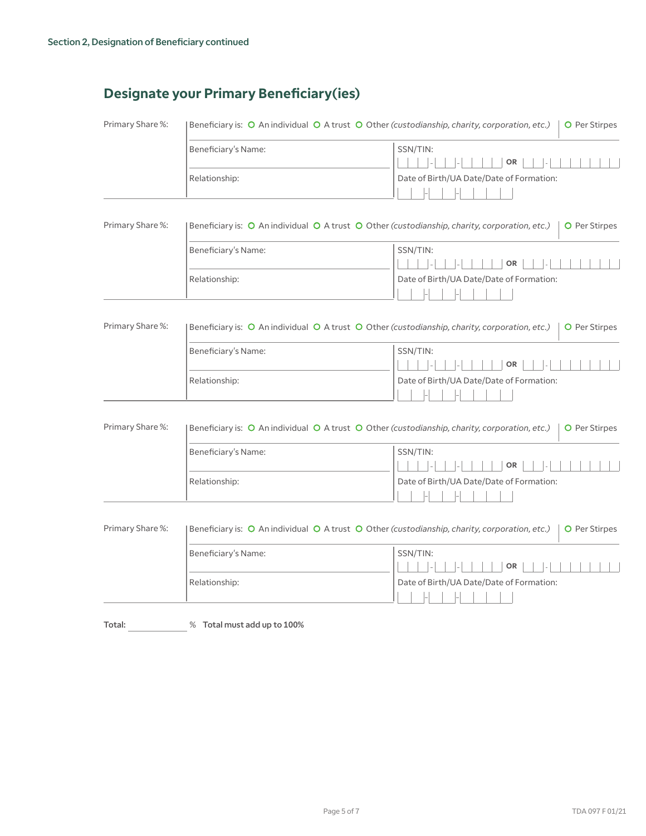# **Designate your Primary Beneficiary(ies)**

| Beneficiary is: O An individual O A trust O Other (custodianship, charity, corporation, etc.)<br><b>O</b> Per Stirpes |                                                                                                                       |  |  |  |
|-----------------------------------------------------------------------------------------------------------------------|-----------------------------------------------------------------------------------------------------------------------|--|--|--|
| Beneficiary's Name:                                                                                                   | SSN/TIN:<br>OR                                                                                                        |  |  |  |
| Relationship:                                                                                                         | Date of Birth/UA Date/Date of Formation:                                                                              |  |  |  |
| Beneficiary is: O An individual O A trust O Other (custodianship, charity, corporation, etc.)<br>O Per Stirpes        |                                                                                                                       |  |  |  |
| Beneficiary's Name:                                                                                                   | SSN/TIN:<br><b>OR</b>                                                                                                 |  |  |  |
| Relationship:                                                                                                         | Date of Birth/UA Date/Date of Formation:                                                                              |  |  |  |
| Beneficiary is: O An individual O A trust O Other (custodianship, charity, corporation, etc.)<br>O Per Stirpes        |                                                                                                                       |  |  |  |
| Beneficiary's Name:                                                                                                   | SSN/TIN:<br>OR                                                                                                        |  |  |  |
| Relationship:                                                                                                         | Date of Birth/UA Date/Date of Formation:                                                                              |  |  |  |
|                                                                                                                       | Beneficiary is: O An individual O A trust O Other (custodianship, charity, corporation, etc.)<br><b>O</b> Per Stirpes |  |  |  |
| Beneficiary's Name:                                                                                                   | SSN/TIN:<br><b>OR</b>                                                                                                 |  |  |  |
| Relationship:                                                                                                         | Date of Birth/UA Date/Date of Formation:                                                                              |  |  |  |
| Beneficiary is: O An individual O A trust O Other (custodianship, charity, corporation, etc.)<br>O Per Stirpes        |                                                                                                                       |  |  |  |
| Beneficiary's Name:                                                                                                   | SSN/TIN:<br>OR                                                                                                        |  |  |  |
| Relationship:                                                                                                         | Date of Birth/UA Date/Date of Formation:                                                                              |  |  |  |
|                                                                                                                       |                                                                                                                       |  |  |  |

Total:  $\frac{1}{2}$  % Total must add up to 100%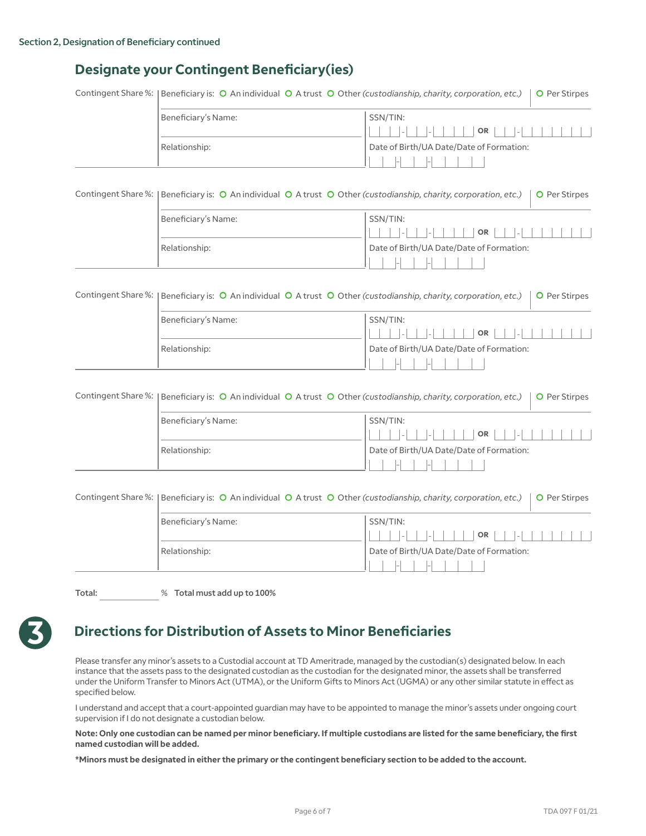# **Designate your Contingent Beneficiary(ies)**

|                     | Contingent Share %:   Beneficiary is: O An individual O A trust O Other (custodianship, charity, corporation, etc.)<br>O Per Stirpes |                                          |  |  |  |  |
|---------------------|--------------------------------------------------------------------------------------------------------------------------------------|------------------------------------------|--|--|--|--|
|                     | Beneficiary's Name:                                                                                                                  | SSN/TIN:                                 |  |  |  |  |
|                     |                                                                                                                                      | <b>OR</b>                                |  |  |  |  |
|                     | Relationship:                                                                                                                        | Date of Birth/UA Date/Date of Formation: |  |  |  |  |
|                     |                                                                                                                                      |                                          |  |  |  |  |
|                     |                                                                                                                                      |                                          |  |  |  |  |
| Contingent Share %: | Beneficiary is: O An individual O A trust O Other (custodianship, charity, corporation, etc.)<br>O Per Stirpes                       |                                          |  |  |  |  |
|                     | Beneficiary's Name:                                                                                                                  | SSN/TIN:                                 |  |  |  |  |
|                     |                                                                                                                                      | OR                                       |  |  |  |  |
|                     | Relationship:                                                                                                                        | Date of Birth/UA Date/Date of Formation: |  |  |  |  |
|                     |                                                                                                                                      |                                          |  |  |  |  |
|                     |                                                                                                                                      |                                          |  |  |  |  |
| Contingent Share %: | Beneficiary is: O An individual O A trust O Other (custodianship, charity, corporation, etc.)<br><b>O</b> Per Stirpes                |                                          |  |  |  |  |
|                     | Beneficiary's Name:                                                                                                                  | SSN/TIN:                                 |  |  |  |  |
|                     |                                                                                                                                      | OR                                       |  |  |  |  |
|                     | Relationship:                                                                                                                        | Date of Birth/UA Date/Date of Formation: |  |  |  |  |
|                     |                                                                                                                                      |                                          |  |  |  |  |
|                     |                                                                                                                                      |                                          |  |  |  |  |
| Contingent Share %: | Beneficiary is: O An individual O A trust O Other (custodianship, charity, corporation, etc.)                                        | O Per Stirpes                            |  |  |  |  |
|                     | Beneficiary's Name:                                                                                                                  | SSN/TIN:                                 |  |  |  |  |
|                     |                                                                                                                                      | OR                                       |  |  |  |  |
|                     | Relationship:                                                                                                                        | Date of Birth/UA Date/Date of Formation: |  |  |  |  |
|                     |                                                                                                                                      |                                          |  |  |  |  |
|                     |                                                                                                                                      |                                          |  |  |  |  |
| Contingent Share %: | Beneficiary is: O An individual O A trust O Other (custodianship, charity, corporation, etc.)                                        | O Per Stirpes                            |  |  |  |  |
|                     | Beneficiary's Name:                                                                                                                  | SSN/TIN:                                 |  |  |  |  |
|                     |                                                                                                                                      | OR                                       |  |  |  |  |
|                     | Relationship:                                                                                                                        | Date of Birth/UA Date/Date of Formation: |  |  |  |  |
|                     |                                                                                                                                      |                                          |  |  |  |  |

Total: % Total must add up to 100%

# **3 Directions for Distribution of Assets to Minor Beneficiaries**

Please transfer any minor's assets to a Custodial account at TD Ameritrade, managed by the custodian(s) designated below. In each instance that the assets pass to the designated custodian as the custodian for the designated minor, the assets shall be transferred under the Uniform Transfer to Minors Act (UTMA), or the Uniform Gifts to Minors Act (UGMA) or any other similar statute in effect as specified below.

I understand and accept that a court-appointed guardian may have to be appointed to manage the minor's assets under ongoing court supervision if I do not designate a custodian below.

**Note: Only one custodian can be named per minor beneficiary. If multiple custodians are listed for the same beneficiary, the first named custodian will be added.**

**\*Minors must be designated in either the primary or the contingent beneficiary section to be added to the account.**